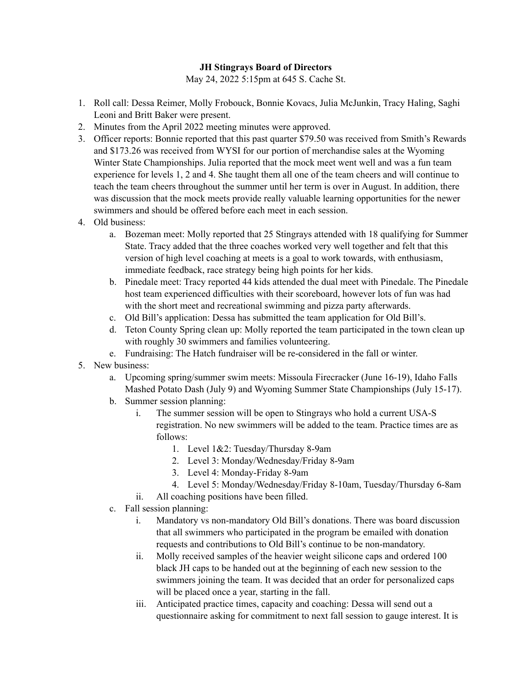## **JH Stingrays Board of Directors**

May 24, 2022 5:15pm at 645 S. Cache St.

- 1. Roll call: Dessa Reimer, Molly Frobouck, Bonnie Kovacs, Julia McJunkin, Tracy Haling, Saghi Leoni and Britt Baker were present.
- 2. Minutes from the April 2022 meeting minutes were approved.
- 3. Officer reports: Bonnie reported that this past quarter \$79.50 was received from Smith's Rewards and \$173.26 was received from WYSI for our portion of merchandise sales at the Wyoming Winter State Championships. Julia reported that the mock meet went well and was a fun team experience for levels 1, 2 and 4. She taught them all one of the team cheers and will continue to teach the team cheers throughout the summer until her term is over in August. In addition, there was discussion that the mock meets provide really valuable learning opportunities for the newer swimmers and should be offered before each meet in each session.
- 4. Old business:
	- a. Bozeman meet: Molly reported that 25 Stingrays attended with 18 qualifying for Summer State. Tracy added that the three coaches worked very well together and felt that this version of high level coaching at meets is a goal to work towards, with enthusiasm, immediate feedback, race strategy being high points for her kids.
	- b. Pinedale meet: Tracy reported 44 kids attended the dual meet with Pinedale. The Pinedale host team experienced difficulties with their scoreboard, however lots of fun was had with the short meet and recreational swimming and pizza party afterwards.
	- c. Old Bill's application: Dessa has submitted the team application for Old Bill's.
	- d. Teton County Spring clean up: Molly reported the team participated in the town clean up with roughly 30 swimmers and families volunteering.
	- e. Fundraising: The Hatch fundraiser will be re-considered in the fall or winter.
- 5. New business:
	- a. Upcoming spring/summer swim meets: Missoula Firecracker (June 16-19), Idaho Falls Mashed Potato Dash (July 9) and Wyoming Summer State Championships (July 15-17).
	- b. Summer session planning:
		- i. The summer session will be open to Stingrays who hold a current USA-S registration. No new swimmers will be added to the team. Practice times are as follows:
			- 1. Level 1&2: Tuesday/Thursday 8-9am
			- 2. Level 3: Monday/Wednesday/Friday 8-9am
			- 3. Level 4: Monday-Friday 8-9am
			- 4. Level 5: Monday/Wednesday/Friday 8-10am, Tuesday/Thursday 6-8am
		- ii. All coaching positions have been filled.
	- c. Fall session planning:
		- i. Mandatory vs non-mandatory Old Bill's donations. There was board discussion that all swimmers who participated in the program be emailed with donation requests and contributions to Old Bill's continue to be non-mandatory.
		- ii. Molly received samples of the heavier weight silicone caps and ordered 100 black JH caps to be handed out at the beginning of each new session to the swimmers joining the team. It was decided that an order for personalized caps will be placed once a year, starting in the fall.
		- iii. Anticipated practice times, capacity and coaching: Dessa will send out a questionnaire asking for commitment to next fall session to gauge interest. It is